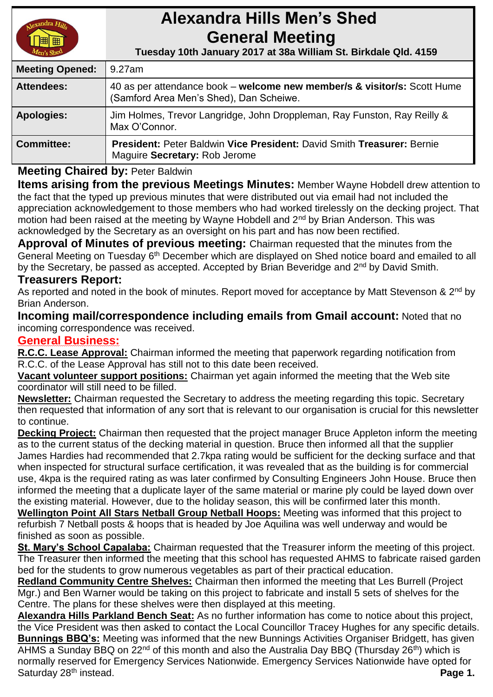

# **Alexandra Hills Men's Shed General Meeting**

 **Tuesday 10th January 2017 at 38a William St. Birkdale Qld. 4159** 

| <b>Meeting Opened:</b> | 9.27am                                                                                                              |
|------------------------|---------------------------------------------------------------------------------------------------------------------|
| <b>Attendees:</b>      | 40 as per attendance book – welcome new member/s & visitor/s: Scott Hume<br>(Samford Area Men's Shed), Dan Scheiwe. |
| <b>Apologies:</b>      | Jim Holmes, Trevor Langridge, John Droppleman, Ray Funston, Ray Reilly &<br>Max O'Connor.                           |
| <b>Committee:</b>      | <b>President: Peter Baldwin Vice President: David Smith Treasurer: Bernie</b><br>Maguire Secretary: Rob Jerome      |

## **Meeting Chaired by:** Peter Baldwin

**Items arising from the previous Meetings Minutes:** Member Wayne Hobdell drew attention to the fact that the typed up previous minutes that were distributed out via email had not included the appreciation acknowledgement to those members who had worked tirelessly on the decking project. That motion had been raised at the meeting by Wayne Hobdell and 2<sup>nd</sup> by Brian Anderson. This was acknowledged by the Secretary as an oversight on his part and has now been rectified.

**Approval of Minutes of previous meeting:** Chairman requested that the minutes from the General Meeting on Tuesday 6<sup>th</sup> December which are displayed on Shed notice board and emailed to all by the Secretary, be passed as accepted. Accepted by Brian Beveridge and 2<sup>nd</sup> by David Smith.

### **Treasurers Report:**

As reported and noted in the book of minutes. Report moved for acceptance by Matt Stevenson & 2<sup>nd</sup> by Brian Anderson.

**Incoming mail/correspondence including emails from Gmail account:** Noted that no incoming correspondence was received.

### **General Business:**

**R.C.C. Lease Approval:** Chairman informed the meeting that paperwork regarding notification from R.C.C. of the Lease Approval has still not to this date been received.

**Vacant volunteer support positions:** Chairman yet again informed the meeting that the Web site coordinator will still need to be filled.

**Newsletter:** Chairman requested the Secretary to address the meeting regarding this topic. Secretary then requested that information of any sort that is relevant to our organisation is crucial for this newsletter to continue.

**Decking Project:** Chairman then requested that the project manager Bruce Appleton inform the meeting as to the current status of the decking material in question. Bruce then informed all that the supplier James Hardies had recommended that 2.7kpa rating would be sufficient for the decking surface and that when inspected for structural surface certification, it was revealed that as the building is for commercial use, 4kpa is the required rating as was later confirmed by Consulting Engineers John House. Bruce then informed the meeting that a duplicate layer of the same material or marine ply could be layed down over the existing material. However, due to the holiday season, this will be confirmed later this month.

**Wellington Point All Stars Netball Group Netball Hoops:** Meeting was informed that this project to refurbish 7 Netball posts & hoops that is headed by Joe Aquilina was well underway and would be finished as soon as possible.

**St. Mary's School Capalaba:** Chairman requested that the Treasurer inform the meeting of this project. The Treasurer then informed the meeting that this school has requested AHMS to fabricate raised garden bed for the students to grow numerous vegetables as part of their practical education.

**Redland Community Centre Shelves:** Chairman then informed the meeting that Les Burrell (Project Mgr.) and Ben Warner would be taking on this project to fabricate and install 5 sets of shelves for the Centre. The plans for these shelves were then displayed at this meeting.

**Alexandra Hills Parkland Bench Seat:** As no further information has come to notice about this project, the Vice President was then asked to contact the Local Councillor Tracey Hughes for any specific details. **Bunnings BBQ's:** Meeting was informed that the new Bunnings Activities Organiser Bridgett, has given  $\overline{AHMS}$  a Sunday BBQ on 22<sup>nd</sup> of this month and also the Australia Day BBQ (Thursday 26<sup>th</sup>) which is normally reserved for Emergency Services Nationwide. Emergency Services Nationwide have opted for Saturday 28<sup>th</sup> instead. **Page 1. Page 1.**